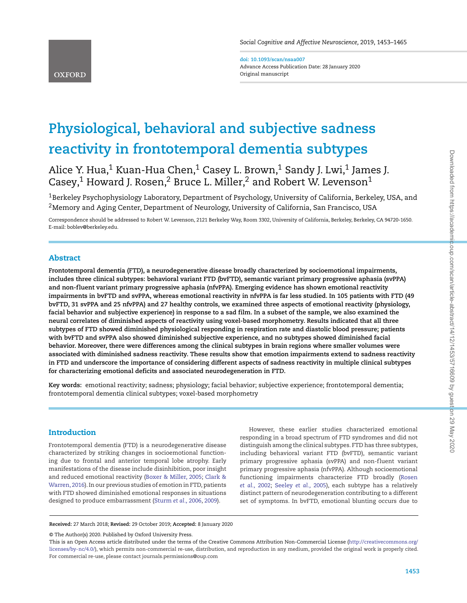**doi: 10.1093/scan/nsaa007** Advance Access Publication Date: 28 January 2020 Original manuscript

# **Physiological, behavioral and subjective sadness reactivity in frontotemporal dementia subtypes**

Alice Y. Hua,<sup>1</sup> Kuan-Hua Chen,<sup>1</sup> Casey L. Brown,<sup>1</sup> Sandy J. Lwi,<sup>1</sup> James J. Casey,<sup>1</sup> Howard J. Rosen,<sup>2</sup> Bruce L. Miller,<sup>2</sup> and Robert W. Levenson<sup>1</sup>

1Berkeley Psychophysiology Laboratory, Department of Psychology, University of California, Berkeley, USA, and <sup>2</sup> Memory and Aging Center, Department of Neurology, University of California, San Francisco, USA

Correspondence should be addressed to Robert W. Levenson, 2121 Berkeley Way, Room 3302, University of California, Berkeley, Berkeley, CA 94720-1650. E-mail: boblev@berkeley.edu.

# **Abstract**

**OXFORD** 

**Frontotemporal dementia (FTD), a neurodegenerative disease broadly characterized by socioemotional impairments, includes three clinical subtypes: behavioral variant FTD (bvFTD), semantic variant primary progressive aphasia (svPPA) and non-f luent variant primary progressive aphasia (nfvPPA). Emerging evidence has shown emotional reactivity impairments in bvFTD and svPPA, whereas emotional reactivity in nfvPPA is far less studied. In 105 patients with FTD (49 bvFTD, 31 svPPA and 25 nfvPPA) and 27 healthy controls, we examined three aspects of emotional reactivity (physiology, facial behavior and subjective experience) in response to a sad film. In a subset of the sample, we also examined the neural correlates of diminished aspects of reactivity using voxel-based morphometry. Results indicated that all three subtypes of FTD showed diminished physiological responding in respiration rate and diastolic blood pressure; patients with bvFTD and svPPA also showed diminished subjective experience, and no subtypes showed diminished facial behavior. Moreover, there were differences among the clinical subtypes in brain regions where smaller volumes were associated with diminished sadness reactivity. These results show that emotion impairments extend to sadness reactivity in FTD and underscore the importance of considering different aspects of sadness reactivity in multiple clinical subtypes for characterizing emotional deficits and associated neurodegeneration in FTD.**

**Key words:** emotional reactivity; sadness; physiology; facial behavior; subjective experience; frontotemporal dementia; frontotemporal dementia clinical subtypes; voxel-based morphometry

# **Introduction**

Frontotemporal dementia (FTD) is a neurodegenerative disease characterized by striking changes in socioemotional functioning due to frontal and anterior temporal lobe atrophy. Early manifestations of the disease include disinhibition, poor insight and reduced emotional reactivity [\(Boxer & Miller, 2005;](#page-10-0) Clark & [Warren, 2016\). In our previous studies of emotion in FTD, patients](#page-10-1) with FTD showed diminished emotional responses in situations designed to produce embarrassment [\(Sturm](#page-11-0) *et al.,* 2006, [2009\)](#page-11-1).

However, these earlier studies characterized emotional responding in a broad spectrum of FTD syndromes and did not distinguish among the clinical subtypes. FTD has three subtypes, including behavioral variant FTD (bvFTD), semantic variant primary progressive aphasia (svPPA) and non-fluent variant primary progressive aphasia (nfvPPA). Although socioemotional [functioning impairments characterize FTD broadly \(Rosen](#page-11-2) *et al.,* 2002; [Seeley](#page-11-3) *et al.,* 2005), each subtype has a relatively distinct pattern of neurodegeneration contributing to a different set of symptoms. In bvFTD, emotional blunting occurs due to

**Received:** 27 March 2018; **Revised:** 29 October 2019; **Accepted:** 8 January 2020

© The Author(s) 2020. Published by Oxford University Press.

This is an Open Access article distributed under the terms of the Creative Commons Attribution Non-Commercial License [\(http://creativecommons.org/](http://creativecommons.org/licenses/by-nc/4.0/) [licenses/by-nc/4.0/\)](http://creativecommons.org/licenses/by-nc/4.0/), which permits non-commercial re-use, distribution, and reproduction in any medium, provided the original work is properly cited. For commercial re-use, please contact journals.permissions@oup.com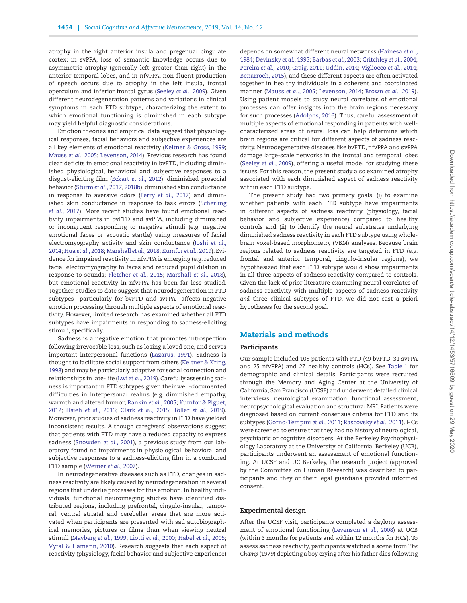atrophy in the right anterior insula and pregenual cingulate cortex; in svPPA, loss of semantic knowledge occurs due to asymmetric atrophy (generally left greater than right) in the anterior temporal lobes, and in nfvPPA, non-fluent production of speech occurs due to atrophy in the left insula, frontal operculum and inferior frontal gyrus [\(Seeley](#page-11-4) *et al.,* 2009). Given different neurodegeneration patterns and variations in clinical symptoms in each FTD subtype, characterizing the extent to which emotional functioning is diminished in each subtype may yield helpful diagnostic considerations.

Emotion theories and empirical data suggest that physiological responses, facial behaviors and subjective experiences are all key elements of emotional reactivity [\(Keltner & Gross, 1999;](#page-10-2) [Mauss](#page-11-5) *et al.,* 2005; [Levenson, 2014\)](#page-11-6). Previous research has found clear deficits in emotional reactivity in bvFTD, including diminished physiological, behavioral and subjective responses to a disgust-eliciting film [\(Eckart](#page-10-3) *et al.,* 2012), diminished prosocial behavior [\(Sturm](#page-11-7) *et al.,* 2017, [2018b\)](#page-12-0), diminished skin conductance in response to aversive odors (Perry *[et al.,](#page-11-8)* 2017) and dimin[ished skin conductance in response to task errors \(Scherling](#page-11-9) *et al.,* 2017). More recent studies have found emotional reactivity impairments in bvFTD and svPPA, including diminished or incongruent responding to negative stimuli (e.g. negative emotional faces or acoustic startle) using measures of facial [electromyography activity and skin conductance \(Joshi](#page-10-4) *et al.,* 2014; Hua *[et al.,](#page-10-5)* 2018; [Marshall](#page-11-10) *et al.,* 2018; [Kumfor](#page-11-11) *et al.,* 2019). Evidence for impaired reactivity in nfvPPA is emerging (e.g. reduced facial electromyography to faces and reduced pupil dilation in response to sounds; [Fletcher](#page-10-6) *et al.,* 2015; [Marshall](#page-11-10) *et al.,* 2018), but emotional reactivity in nfvPPA has been far less studied. Together, studies to date suggest that neurodegeneration in FTD subtypes—particularly for bvFTD and svPPA—affects negative emotion processing through multiple aspects of emotional reactivity. However, limited research has examined whether all FTD subtypes have impairments in responding to sadness-eliciting stimuli, specifically.

Sadness is a negative emotion that promotes introspection following irrevocable loss, such as losing a loved one, and serves important interpersonal functions [\(Lazarus, 1991\)](#page-11-12). Sadness is [thought to facilitate social support from others \(Keltner & Kring,](#page-10-7) 1998) and may be particularly adaptive for social connection and relationships in late-life (Lwi *et al.*[, 2019\)](#page-11-13). Carefully assessing sadness is important in FTD subtypes given their well-documented difficulties in interpersonal realms (e.g. diminished empathy, [warmth and altered humor;](#page-11-15) [Rankin](#page-11-14) *et al.,* 2005; Kumfor & Piguet, 2012; [Hsieh](#page-10-8) *et al.,* 2013; Clark *[et al.,](#page-10-9)* 2015; [Toller](#page-12-1) *et al.,* 2019). Moreover, prior studies of sadness reactivity in FTD have yielded inconsistent results. Although caregivers' observations suggest that patients with FTD may have a reduced capacity to express sadness [\(Snowden](#page-11-16) *et al.,* 2001), a previous study from our laboratory found no impairments in physiological, behavioral and subjective responses to a sadness-eliciting film in a combined FTD sample [\(Werner](#page-12-2) *et al.,* 2007).

In neurodegenerative diseases such as FTD, changes in sadness reactivity are likely caused by neurodegeneration in several regions that underlie processes for this emotion. In healthy individuals, functional neuroimaging studies have identified distributed regions, including prefrontal, cingulo-insular, temporal, ventral striatal and cerebellar areas that are more activated when participants are presented with sad autobiographical memories, pictures or films than when viewing neutral stimuli [\(Mayberg](#page-11-17) *et al.,* 1999; [Liotti](#page-11-18) *et al.,* 2000; [Habel](#page-10-10) *et al.,* 2005; [Vytal & Hamann, 2010\)](#page-12-3). Research suggests that each aspect of reactivity (physiology, facial behavior and subjective experience) [depends on somewhat different neural networks \(Hainesa](#page-10-11) *et al.,* 1984; [Devinsky](#page-10-12) *et al.,* 1995; [Barbas](#page-10-13) *et al.,* 2003; [Critchley](#page-10-14) *et al.,* 2004; [Pereira](#page-11-19) *et al.,* 2010; [Craig, 2011;](#page-10-15) [Uddin, 2014;](#page-12-4) [Vigliocco](#page-12-5) *et al.,* 2014; [Benarroch, 2015\)](#page-10-16), and these different aspects are often activated together in healthy individuals in a coherent and coordinated manner [\(Mauss](#page-11-5) *et al.,* 2005; [Levenson, 2014;](#page-11-6) [Brown](#page-10-17) *et al.,* 2019). Using patient models to study neural correlates of emotional processes can offer insights into the brain regions necessary for such processes [\(Adolphs, 2016\)](#page-10-18). Thus, careful assessment of multiple aspects of emotional responding in patients with wellcharacterized areas of neural loss can help determine which brain regions are critical for different aspects of sadness reactivity. Neurodegenerative diseases like bvFTD, nfvPPA and svPPA damage large-scale networks in the frontal and temporal lobes [\(Seeley](#page-11-4) *et al.,* 2009), offering a useful model for studying these issues. For this reason, the present study also examined atrophy associated with each diminished aspect of sadness reactivity within each FTD subtype.

The present study had two primary goals: (i) to examine whether patients with each FTD subtype have impairments in different aspects of sadness reactivity (physiology, facial behavior and subjective experience) compared to healthy controls and (ii) to identify the neural substrates underlying diminished sadness reactivity in each FTD subtype using wholebrain voxel-based morphometry (VBM) analyses. Because brain regions related to sadness reactivity are targeted in FTD (e.g. frontal and anterior temporal, cingulo-insular regions), we hypothesized that each FTD subtype would show impairments in all three aspects of sadness reactivity compared to controls. Given the lack of prior literature examining neural correlates of sadness reactivity with multiple aspects of sadness reactivity *and* three clinical subtypes of FTD, we did not cast a priori hypotheses for the second goal.

# **Materials and methods**

#### **Participants**

Our sample included 105 patients with FTD (49 bvFTD, 31 svPPA and 25 nfvPPA) and 27 healthy controls (HCs). See [Table 1](#page-2-0) for demographic and clinical details. Participants were recruited through the Memory and Aging Center at the University of California, San Francisco (UCSF) and underwent detailed clinical interviews, neurological examination, functional assessment, neuropsychological evaluation and structural MRI. Patients were diagnosed based on current consensus criteria for FTD and its subtypes [\(Gorno-Tempini](#page-10-19) *et al.,* 2011; [Rascovsky](#page-11-20) *et al.,* 2011). HCs were screened to ensure that they had no history of neurological, psychiatric or cognitive disorders. At the Berkeley Psychophysiology Laboratory at the University of California, Berkeley (UCB), participants underwent an assessment of emotional functioning. At UCSF and UC Berkeley, the research project (approved by the Committee on Human Research) was described to participants and they or their legal guardians provided informed consent.

## **Experimental design**

After the UCSF visit, participants completed a daylong assessment of emotional functioning [\(Levenson](#page-11-21) *et al.,* 2008) at UCB (within 3 months for patients and within 12 months for HCs). To assess sadness reactivity, participants watched a scene from *The Champ* (1979) depicting a boy crying after his father dies following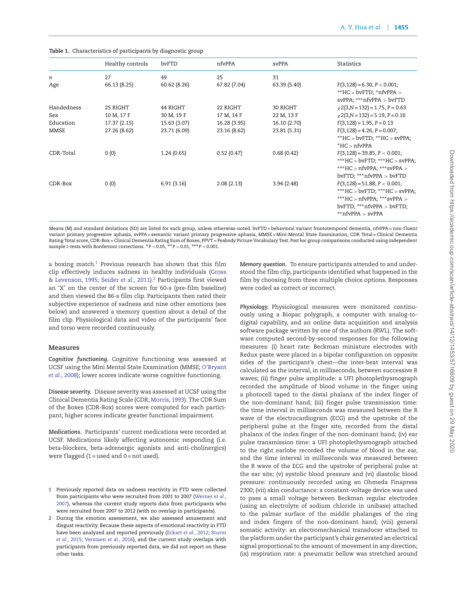<span id="page-2-0"></span>

|  | Table 1. Characteristics of participants by diagnostic group |  |  |  |
|--|--------------------------------------------------------------|--|--|--|
|--|--------------------------------------------------------------|--|--|--|

|            | Healthy controls | bvFTD        | nfvPPA       | svPPA        | Statistics                                                                                                                                                             |
|------------|------------------|--------------|--------------|--------------|------------------------------------------------------------------------------------------------------------------------------------------------------------------------|
| n          | 27               | 49           | 25           | 31           |                                                                                                                                                                        |
| Age        | 66.13 (8.25)     | 60.62 (8.26) | 67.82 (7.04) | 63.39 (5.40) | $F(3,128) = 6.30, P < 0.001;$<br>$*HC > b\nu FTD; *nf\nu PPA >$<br>$svPPA$ ; *** $nfvPPA > b\nu FTD$                                                                   |
| Handedness | 25 RIGHT         | 44 RIGHT     | 22 RIGHT     | 30 RIGHT     | $\chi$ 2(3, N = 132) = 1.75, P = 0.63                                                                                                                                  |
| Sex        | 10 M, 17 F       | 30 M, 19 F   | 17 M, 14 F   | 22 M, 13 F   | $\chi$ 2(3, N = 132) = 5.19, P = 0.16                                                                                                                                  |
| Education  | 17.37 (2.15)     | 15.63 (3.07) | 16.28 (3.95) | 16.10 (2.70) | $F(3, 128) = 1.95$ , $P = 0.13$                                                                                                                                        |
| MMSE       | 27.26 (8.62)     | 23.71 (6.09) | 23.16 (8.62) | 23.81 (5.31) | $F(3,128) = 4.26$ , $P = 0.007$ ;<br>$*HC > b\nu FTD; *HC > s\nu PPA;$<br>$*$ HC $>$ nfvPPA                                                                            |
| CDR-Total  | 0(0)             | 1.24(0.65)   | 0.52(0.47)   | 0.68(0.42)   | $F(3,128) = 39.85$ , $P < 0.001$ ;<br>***HC > bvFTD; ***HC > svPPA;<br>*** $HC > nfvPPA$ ; ***svPPA ><br>$b$ v $FTD$ ; *** $nfvPPA > b\nu FTD$                         |
| CDR-Box    | 0(0)             | 6.91(3.16)   | 2.08(2.13)   | 3.94(2.48)   | $F(3,128) = 51.88, P < 0.001;$<br>***HC > bvFTD; ***HC > svPPA;<br>*** $HC > nfvPPA$ ; *** $svPPA >$<br>$b$ v $FTD$ ; *** $nfvPPA > b\nu FTD$ ;<br>** $nfvPPA > svPPA$ |

Means (M) and standard deviations (SD) are listed for each group, unless otherwise noted. bvFTD = behavioral variant frontotemporal dementia, nfvPPA = non-fluent variant primary progressive aphasia, svPPA = semantic variant primary progressive aphasia, MMSE = Mini-Mental State Examination, CDR Total = Clinical Dementia Rating Total score, CDR-Box = Clinical Dementia Rating Sum of Boxes, PPVT = Peabody Picture Vocabulary Test. *Post hoc* group comparisons conducted using independent sample *t*-tests with Bonferroni corrections. ∗*P <* 0.05, ∗∗*P <* 0.01, ∗∗∗*P <* 0.001.

a boxing match[.1](#page-2-1) Previous research has shown that this film [clip effectively induces sadness in healthy individuals \(Gross](#page-10-20) & Levenson, 1995; [Seider](#page-11-22) *et al.,* 2011)[.2](#page-2-2) Participants first viewed an 'X' on the center of the screen for 60-s (pre-film baseline) and then viewed the 86-s film clip. Participants then rated their subjective experience of sadness and nine other emotions (see below) and answered a memory question about a detail of the film clip. Physiological data and video of the participants' face and torso were recorded continuously.

#### **Measures**

*Cognitive functioning.* Cognitive functioning was assessed at UCSF using the Mini Mental State Examination (MMSE; O'Bryant *et al.,* [2008\); lower scores indicate worse cognitive functioning.](#page-11-23)

*Disease severity.* Disease severity was assessed at UCSF using the Clinical Dementia Rating Scale (CDR; [Morris, 1993\)](#page-11-24). The CDR Sum of the Boxes (CDR-Box) scores were computed for each participant; higher scores indicate greater functional impairment.

*Medications.* Participants' current medications were recorded at UCSF. Medications likely affecting autonomic responding (i.e. beta-blockers, beta-adrenergic agonists and anti-cholinergics) were flagged  $(1 = used and 0 = not used)$ .

- <span id="page-2-1"></span>1 Previously reported data on sadness reactivity in FTD were collected from participants who were recruited from 2001 to 2007 (Werner *et al.,* [2007\), whereas the current study reports data from participants who](#page-12-2) were recruited from 2007 to 2012 (with no overlap in participants).
- <span id="page-2-2"></span>2 During the emotion assessment, we also assessed amusement and disgust reactivity. Because these aspects of emotional reactivity in FTD [have been analyzed and reported previously \(](#page-11-25)[Eckart](#page-10-3) *et al.,* 2012; Sturm *et al.,* 2015; [Verstaen](#page-12-6) *et al.,* 2016), and the current study overlaps with participants from previously reported data, we did not report on these other tasks.

*Memory question.* To ensure participants attended to and understood the film clip, participants identified what happened in the film by choosing from three multiple choice options. Responses were coded as correct or incorrect.

*Physiology.* Physiological measures were monitored continuously using a Biopac polygraph, a computer with analog-todigital capability, and an online data acquisition and analysis software package written by one of the authors (RWL). The software computed second-by-second responses for the following measures: (i) heart rate: Beckman miniature electrodes with Redux paste were placed in a bipolar configuration on opposite sides of the participant's chest—the inter-beat interval was calculated as the interval, in milliseconds, between successive R waves; (ii) finger pulse amplitude: a UFI photoplethysmograph recorded the amplitude of blood volume in the finger using a photocell taped to the distal phalanx of the index finger of the non-dominant hand; (iii) finger pulse transmission time: the time interval in milliseconds was measured between the R wave of the electrocardiogram (ECG) and the upstroke of the peripheral pulse at the finger site, recorded from the distal phalanx of the index finger of the non-dominant hand; (iv) ear pulse transmission time: a UFI photoplethysmograph attached to the right earlobe recorded the volume of blood in the ear, and the time interval in milliseconds was measured between the R wave of the ECG and the upstroke of peripheral pulse at the ear site; (v) systolic blood pressure and (vi) diastolic blood pressure: continuously recorded using an Ohmeda Finapress 2300; (vii) skin conductance: a constant-voltage device was used to pass a small voltage between Beckman regular electrodes (using an electrolyte of sodium chloride in unibase) attached to the palmar surface of the middle phalanges of the ring and index fingers of the non-dominant hand; (viii) general somatic activity: an electromechanical transducer attached to the platform under the participant's chair generated an electrical signal proportional to the amount of movement in any direction; (ix) respiration rate: a pneumatic bellow was stretched around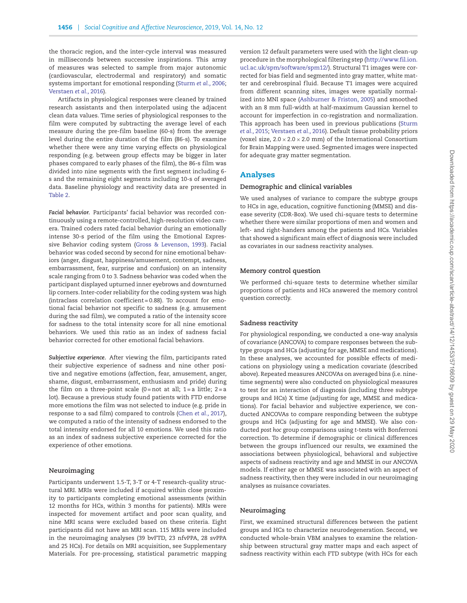the thoracic region, and the inter-cycle interval was measured in milliseconds between successive inspirations. This array of measures was selected to sample from major autonomic (cardiovascular, electrodermal and respiratory) and somatic systems important for emotional responding [\(Sturm](#page-11-0) *et al.,* 2006; [Verstaen](#page-12-6) *et al.,* 2016).

Artifacts in physiological responses were cleaned by trained research assistants and then interpolated using the adjacent clean data values. Time series of physiological responses to the film were computed by subtracting the average level of each measure during the pre-film baseline (60-s) from the average level during the entire duration of the film (86-s). To examine whether there were any time varying effects on physiological responding (e.g. between group effects may be bigger in later phases compared to early phases of the film), the 86-s film was divided into nine segments with the first segment including 6 s and the remaining eight segments including 10-s of averaged data. Baseline physiology and reactivity data are presented in [Table 2.](#page-4-0)

*Facial behavior.* Participants' facial behavior was recorded continuously using a remote-controlled, high-resolution video camera. Trained coders rated facial behavior during an emotionally intense 30-s period of the film using the Emotional Expressive Behavior coding system [\(Gross & Levenson, 1993\)](#page-10-21). Facial behavior was coded second by second for nine emotional behaviors (anger, disgust, happiness/amusement, contempt, sadness, embarrassment, fear, surprise and confusion) on an intensity scale ranging from 0 to 3. Sadness behavior was coded when the participant displayed upturned inner eyebrows and downturned lip corners. Inter-coder reliability for the coding system was high (intraclass correlation coefficient = 0.88). To account for emotional facial behavior not specific to sadness (e.g. amusement during the sad film), we computed a ratio of the intensity score for sadness to the total intensity score for all nine emotional behaviors. We used this ratio as an index of sadness facial behavior corrected for other emotional facial behaviors.

*Subjective experience.* After viewing the film, participants rated their subjective experience of sadness and nine other positive and negative emotions (affection, fear, amusement, anger, shame, disgust, embarrassment, enthusiasm and pride) during the film on a three-point scale  $(0 = not at all; 1 = a little; 2 = a$ lot). Because a previous study found patients with FTD endorse more emotions the film was not selected to induce (e.g. pride in response to a sad film) compared to controls [\(Chen](#page-10-22) *et al.,* 2017), we computed a ratio of the intensity of sadness endorsed to the total intensity endorsed for all 10 emotions. We used this ratio as an index of sadness subjective experience corrected for the experience of other emotions.

## **Neuroimaging**

Participants underwent 1.5-T, 3-T or 4-T research-quality structural MRI. MRIs were included if acquired within close proximity to participants completing emotional assessments (within 12 months for HCs, within 3 months for patients). MRIs were inspected for movement artifact and poor scan quality, and nine MRI scans were excluded based on these criteria. Eight participants did not have an MRI scan. 115 MRIs were included in the neuroimaging analyses (39 bvFTD, 23 nfvPPA, 28 svPPA and 25 HCs). For details on MRI acquisition, see Supplementary Materials. For pre-processing, statistical parametric mapping

version 12 default parameters were used with the light clean-up procedure in the morphological filtering step [\(http://www.fil.ion.](http://www.fil.ion.ucl.ac.uk/spm/software/spm12/) [ucl.ac.uk/spm/software/spm12/\)](http://www.fil.ion.ucl.ac.uk/spm/software/spm12/). Structural T1 images were corrected for bias field and segmented into gray matter, white matter and cerebrospinal fluid. Because T1 images were acquired from different scanning sites, images were spatially normalized into MNI space [\(Ashburner & Friston, 2005\)](#page-10-23) and smoothed with an 8 mm full-width at half-maximum Gaussian kernel to account for imperfection in co-registration and normalization. [This approach has been used in previous publications \(Sturm](#page-11-25) *et al.,* 2015; [Verstaen](#page-12-6) *et al.,* 2016). Default tissue probability priors (voxel size,  $2.0 \times 2.0 \times 2.0$  mm) of the International Consortium for Brain Mapping were used. Segmented images were inspected for adequate gray matter segmentation.

# **Analyses**

#### **Demographic and clinical variables**

We used analyses of variance to compare the subtype groups to HCs in age, education, cognitive functioning (MMSE) and disease severity (CDR-Box). We used chi-square tests to determine whether there were similar proportions of men and women and left- and right-handers among the patients and HCs. Variables that showed a significant main effect of diagnosis were included as covariates in our sadness reactivity analyses.

### **Memory control question**

We performed chi-square tests to determine whether similar proportions of patients and HCs answered the memory control question correctly.

#### **Sadness reactivity**

For physiological responding, we conducted a one-way analysis of covariance (ANCOVA) to compare responses between the subtype groups and HCs (adjusting for age, MMSE and medications). In these analyses, we accounted for possible effects of medications on physiology using a medication covariate (described above). Repeated measures ANCOVAs on averaged bins (i.e. ninetime segments) were also conducted on physiological measures to test for an interaction of diagnosis (including three subtype groups and HCs) X time (adjusting for age, MMSE and medications). For facial behavior and subjective experience, we conducted ANCOVAs to compare responding between the subtype groups and HCs (adjusting for age and MMSE). We also conducted *post hoc* group comparisons using *t*-tests with Bonferroni correction. To determine if demographic or clinical differences between the groups influenced our results, we examined the associations between physiological, behavioral and subjective aspects of sadness reactivity and age and MMSE in our ANCOVA models. If either age or MMSE was associated with an aspect of sadness reactivity, then they were included in our neuroimaging analyses as nuisance covariates.

#### **Neuroimaging**

First, we examined structural differences between the patient groups and HCs to characterize neurodegeneration. Second, we conducted whole-brain VBM analyses to examine the relationship between structural gray matter maps and each aspect of sadness reactivity within each FTD subtype (with HCs for each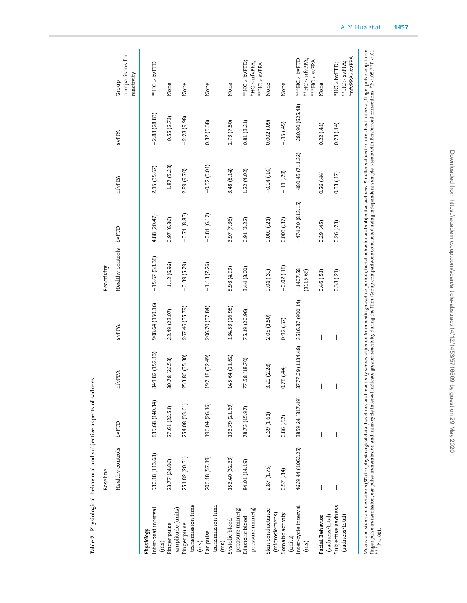|                                                          | Baseline                                                                                                                                                                                                                       |                  |                   |                          | Reactivity              |                   |                   |                   |                                                      |
|----------------------------------------------------------|--------------------------------------------------------------------------------------------------------------------------------------------------------------------------------------------------------------------------------|------------------|-------------------|--------------------------|-------------------------|-------------------|-------------------|-------------------|------------------------------------------------------|
|                                                          | Healthy controls                                                                                                                                                                                                               | <b>bvFTD</b>     | nfvPPA            | <b>SVPPA</b>             | Healthy controls bvFTD  |                   | nfvPPA            | <b>SVPPA</b>      | comparisons for<br>reactivity<br>Group               |
| Inter-beat interval<br>Physiology                        | 930.18 (113.68)                                                                                                                                                                                                                | 839.68 (140.34)  | 849.82 (152.13)   | 908.64 (150.16)          | $-15.67(38.38)$         | 4.88 (20.47)      | 2.15 (35.67)      | $-2.88(28.83)$    | **HC > bvFTD                                         |
| Finger pulse<br>(ms)                                     | 23.77 (24.06)                                                                                                                                                                                                                  | 27.61 (22.51)    | 30.78 (26.53)     | 22.49 (23.07)            | $-1.12(6.96)$           | 0.97(6.86)        | $-1.87(5.28)$     | $-0.55(2.73)$     | None                                                 |
| transmission time<br>amplitude (units)<br>Finger pulse   | 251.82 (20.31)                                                                                                                                                                                                                 | 254.08 (33.61)   | 253.86 (35.30)    | 267.46 (35.79)           | $-0.39(5.79)$           | $-0.71(8.83)$     | 2.89 (9.70)       | $-2.28(9.98)$     | None                                                 |
| transmission time<br>Ear pulse<br>(ms)                   | 206.18 (57.19)                                                                                                                                                                                                                 | 196.04 (26.16)   | 192.18 (32.49)    | 206.70 (37.84)           | $-1.13(7.26)$           | $-0.81(6.17)$     | $-0.52(5.01)$     | 0.32(5.38)        | None                                                 |
| Systolic blood<br>(ms)                                   | 153.40 (32.33)                                                                                                                                                                                                                 | 133.79 (21.69)   | 145.64 (21.62)    | 134.53 (26.98)           | 5.98 (4.93)             | 3.97 (7.36)       | 3.48(8.14)        | 2.73 (7.50)       | None                                                 |
| pressure (mmHg)<br>pressure (mmHg)<br>Diastolic blood    | 84.01 (14.19)                                                                                                                                                                                                                  | 78.73 (15.97)    | 77.58 (18.70)     | 75.19 (20.96)            | 3.44 (3.00)             | 0.91(3.22)        | 1.22(4.02)        | 0.81(3.21)        | **HC > bvFTD;<br>$*$ HC > nfvPPA;                    |
| Skin conductance                                         | 2.87(1.75)                                                                                                                                                                                                                     | 2.39(1.61)       | 3.20 (2.28)       | 2.05(1.50)               | 0.04(39)                | 0.009(21)         | $-0.04(14)$       | 0.002(.09)        | **HC > svPPA<br>None                                 |
| (microsiemens)<br>Somatic activity                       | 0.57(34)                                                                                                                                                                                                                       | 0.86(.52)        | $(44)$ 87.0       | 0.92(.57)                | $-0.02(18)$             | 0.003(37)         | $-.11(.29)$       | $-.15(45)$        | None                                                 |
| Inter-cycle interval<br>(units)<br>(ms)                  | 4669.44 (1062.25)                                                                                                                                                                                                              | 3859.24 (817.49) | 3777.09 (1134.48) | 3516.87 (900.14)         | $-1407.58$<br>(1115.69) | $-474.70(813.15)$ | $-480.45(711.32)$ | $-280.90(625.48)$ | $** HC > bVFTD;$<br>**HC > nfvPPA;                   |
| Facial Behavior                                          |                                                                                                                                                                                                                                |                  | I                 | $\overline{\phantom{a}}$ | 0.46(.51)               | 0.29(45)          | 0.26(.44)         | 0.22(41)          | ***HC > svPPA<br>None                                |
| Subjective sadness<br>(sadness/total)<br>(sadness/total) |                                                                                                                                                                                                                                |                  |                   |                          | 0.38(21)                | 0.26(23)          | 0.33(17)          | 0.23(14)          | *nfvPPA>svPPA<br>**HC > svPPA;<br>$*$ HC > $b$ vFTD; |
|                                                          | Means and standard deviations (SD) for physiological data (baselines and reactivity scores adjusted from resting baseline period), facial behavior and subjective sadness. Smaller values for inter-beat interval, finger puls |                  |                   |                          |                         |                   |                   |                   |                                                      |

finger pulse transmission, ear pulse transmission and inter-cycle interval indicate greater reader reader fully during the film. Group comparisons conducted using independent sample t-tests with Bonferroni corrections. \*P ∗∗∗ *P <* .001.

<span id="page-4-0"></span>Table 2. Physiological, behavioral and subjective aspects of sadness **Table 2.** Physiological, behavioral and subjective aspects of sadness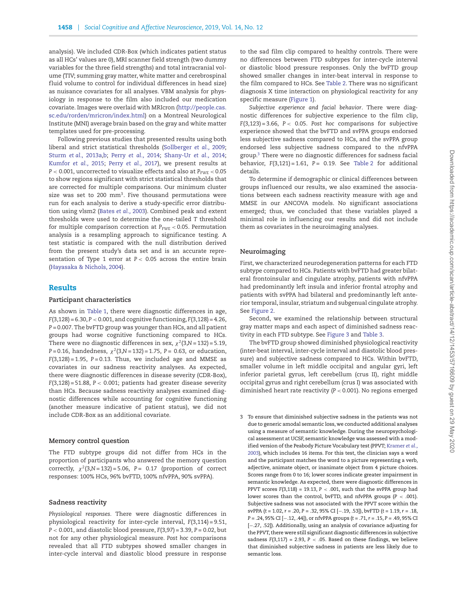analysis). We included CDR-Box (which indicates patient status as all HCs' values are 0), MRI scanner field strength (two dummy variables for the three field strengths) and total intracranial volume (TIV; summing gray matter, white matter and cerebrospinal fluid volume to control for individual differences in head size) as nuisance covariates for all analyses. VBM analysis for physiology in response to the film also included our medication covariate. Images were overlaid with MRIcron [\(http://people.cas.](http://people.cas.sc.edu/rorden/mricron/index.html) [sc.edu/rorden/mricron/index.html\)](http://people.cas.sc.edu/rorden/mricron/index.html) on a Montreal Neurological Institute (MNI) average brain based on the gray and white matter templates used for pre-processing.

Following previous studies that presented results using both liberal and strict statistical thresholds [\(Sollberger](#page-11-26) *et al.,* 2009; Sturm *et al.*[, 2013a,](#page-11-27)[b;](#page-11-28) Perry *[et al.,](#page-11-29)* 2014; [Shany-Ur](#page-11-30) *et al.,* 2014; [Kumfor](#page-11-31) *et al.,* 2015; Perry *[et al.,](#page-11-8)* 2017), we present results at *P* < 0.001, uncorrected to visualize effects and also at  $P_{\text{FWE}}$  < 0.05 to show regions significant with strict statistical thresholds that are corrected for multiple comparisons. Our minimum cluster size was set to 200 mm<sup>3</sup>. Five thousand permutations were run for each analysis to derive a study-specific error distribution using vlsm2 [\(Bates](#page-10-24) *et al.,* 2003). Combined peak and extent thresholds were used to determine the one-tailed *T* threshold for multiple comparison correction at  $P_{\text{FWE}}$  < 0.05. Permutation analysis is a resampling approach to significance testing. A test statistic is compared with the null distribution derived from the present study's data set and is an accurate representation of Type 1 error at *P <* 0.05 across the entire brain [\(Hayasaka & Nichols, 2004\)](#page-10-25).

## **Results**

#### **Participant characteristics**

As shown in [Table 1,](#page-2-0) there were diagnostic differences in age, *F*(3,128) = 6.30, *P <* 0.001, and cognitive functioning, *F*(3,128) = 4.26, *P* = 0.007. The bvFTD group was younger than HCs, and all patient groups had worse cognitive functioning compared to HCs. There were no diagnostic differences in sex,  $\chi^2$ (3,*N* = 132) = 5.19, *P* = 0.16, handedness, *χ<sup>2</sup>*(3,*N* = 132) = 1.75, *P =* 0.63, or education, *F*(3,128) = 1.95, *P* = 0.13. Thus, we included age and MMSE as covariates in our sadness reactivity analyses. As expected, there were diagnostic differences in disease severity (CDR-Box), *F*(3,128) = 51.88, *P <* 0.001; patients had greater disease severity than HCs. Because sadness reactivity analyses examined diagnostic differences while accounting for cognitive functioning (another measure indicative of patient status), we did not include CDR-Box as an additional covariate.

#### **Memory control question**

The FTD subtype groups did not differ from HCs in the proportion of participants who answered the memory question correctly,  $\chi^2$ (3,*N* = 132) = 5.06, *P* = 0.17 (proportion of correct responses: 100% HCs, 96% bvFTD, 100% nfvPPA, 90% svPPA).

## **Sadness reactivity**

*Physiological responses.* There were diagnostic differences in physiological reactivity for inter-cycle interval, *F*(3,114) = 9.51, *P <* 0.001, and diastolic blood pressure, *F*(3,97) = 3.39, *P =* 0.02, but not for any other physiological measure. *Post hoc* comparisons revealed that all FTD subtypes showed smaller changes in inter-cycle interval and diastolic blood pressure in response to the sad film clip compared to healthy controls. There were no differences between FTD subtypes for inter-cycle interval or diastolic blood pressure responses. Only the bvFTD group showed smaller changes in inter-beat interval in response to the film compared to HCs. See [Table 2.](#page-4-0) There was no significant diagnosis X time interaction on physiological reactivity for any specific measure [\(Figure 1\)](#page-6-0).

*Subjective experience and facial behavior*. There were diagnostic differences for subjective experience to the film clip, *F*(3,123) = 3.66, *P <* 0.05. *Post hoc* comparisons for subjective experience showed that the bvFTD and svPPA groups endorsed less subjective sadness compared to HCs, and the svPPA group endorsed less subjective sadness compared to the nfvPPA group[.3](#page-5-0) There were no diagnostic differences for sadness facial behavior, *F*(3,121) = 1.61, *P =* 0.19. See [Table 2](#page-4-0) for additional details.

To determine if demographic or clinical differences between groups influenced our results, we also examined the associations between each sadness reactivity measure with age and MMSE in our ANCOVA models. No significant associations emerged; thus, we concluded that these variables played a minimal role in influencing our results and did not include them as covariates in the neuroimaging analyses.

#### **Neuroimaging**

First, we characterized neurodegeneration patterns for each FTD subtype compared to HCs. Patients with bvFTD had greater bilateral frontoinsular and cingulate atrophy, patients with nfvPPA had predominantly left insula and inferior frontal atrophy and patients with svPPA had bilateral and predominantly left anterior temporal, insular, striatum and subgenual cingulate atrophy. See [Figure 2.](#page-7-0)

Second, we examined the relationship between structural gray matter maps and each aspect of diminished sadness reactivity in each FTD subtype. See [Figure 3](#page-8-0) and [Table 3.](#page-7-1)

The bvFTD group showed diminished physiological reactivity (inter-beat interval, inter-cycle interval and diastolic blood pressure) and subjective sadness compared to HCs. Within bvFTD, smaller volume in left middle occipital and angular gyri, left inferior parietal gyrus, left cerebellum (crus II), right middle occipital gyrus and right cerebellum (crus I) was associated with diminished heart rate reactivity (*P <* 0.001). No regions emerged

<span id="page-5-0"></span>3 To ensure that diminished subjective sadness in the patients was not due to generic amodal semantic loss, we conducted additional analyses using a measure of semantic knowledge. During the neuropsychological assessment at UCSF, semantic knowledge was assessed with a modified version of the Peabody Picture Vocabulary test (PPVT; Kramer *et al.,* [2003\), which includes 16 items. For this test, the clinician says a word](#page-10-26) and the participant matches the word to a picture representing a verb, adjective, animate object, or inanimate object from 4 picture choices. Scores range from 0 to 16; lower scores indicate greater impairment in semantic knowledge. As expected, there were diagnostic differences in PPVT scores *F*(3,118) = 19.13, *P <* .001, such that the svPPA group had lower scores than the control, bvFTD, and nfvPPA groups (*P <* .001). Subjective sadness was not associated with the PPVT score within the svPPA (*t* = 1.02, *r* = .20, *P* = .32, 95% CI [−.19, .53]), bvFTD (*t* = 1.19, *r* = .18, *P* = .24, 95% CI [−.12, .44]), or nfvPPA groups (*t* = .71, *r* = .15, *P* = .49, 95% CI [−.27, .52]). Additionally, using an analysis of covariance adjusting for the PPVT, there were still significant diagnostic differences in subjective sadness  $F(3,117) = 2.93$ ,  $P < .05$ . Based on these findings, we believe that diminished subjective sadness in patients are less likely due to semantic loss.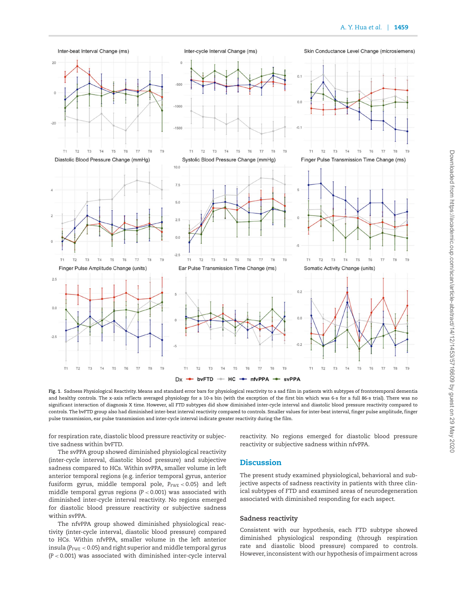

<span id="page-6-0"></span>**Fig. 1**. Sadness Physiological Reactivity. Means and standard error bars for physiological reactivity to a sad film in patients with subtypes of frontotemporal dementia and healthy controls. The x-axis reflects averaged physiology for a 10-s bin (with the exception of the first bin which was 6-s for a full 86-s trial). There was no significant interaction of diagnosis X time. However, all FTD subtypes did show diminished inter-cycle interval and diastolic blood pressure reactivity compared to controls. The bvFTD group also had diminished inter-beat interval reactivity compared to controls. Smaller values for inter-beat interval, finger pulse amplitude, finger pulse transmission, ear pulse transmission and inter-cycle interval indicate greater reactivity during the film.

for respiration rate, diastolic blood pressure reactivity or subjective sadness within bvFTD.

The svPPA group showed diminished physiological reactivity

reactivity. No regions emerged for diastolic blood pressure reactivity or subjective sadness within nfvPPA.

(inter-cycle interval, diastolic blood pressure) and subjective sadness compared to HCs. Within svPPA, smaller volume in left

anterior temporal regions (e.g. inferior temporal gyrus, anterior fusiform gyrus, middle temporal pole,  $P_{\text{FWE}}$  < 0.05) and left middle temporal gyrus regions (*P <* 0.001) was associated with diminished inter-cycle interval reactivity. No regions emerged for diastolic blood pressure reactivity or subjective sadness within svPPA.

The nfvPPA group showed diminished physiological reactivity (inter-cycle interval, diastolic blood pressure) compared to HCs. Within nfvPPA, smaller volume in the left anterior insula ( $P_{\text{FWE}}$  < 0.05) and right superior and middle temporal gyrus (*P <* 0.001) was associated with diminished inter-cycle interval **Discussion**

The present study examined physiological, behavioral and subjective aspects of sadness reactivity in patients with three clinical subtypes of FTD and examined areas of neurodegeneration associated with diminished responding for each aspect.

## **Sadness reactivity**

Consistent with our hypothesis, each FTD subtype showed diminished physiological responding (through respiration rate and diastolic blood pressure) compared to controls. However, inconsistent with our hypothesis of impairment across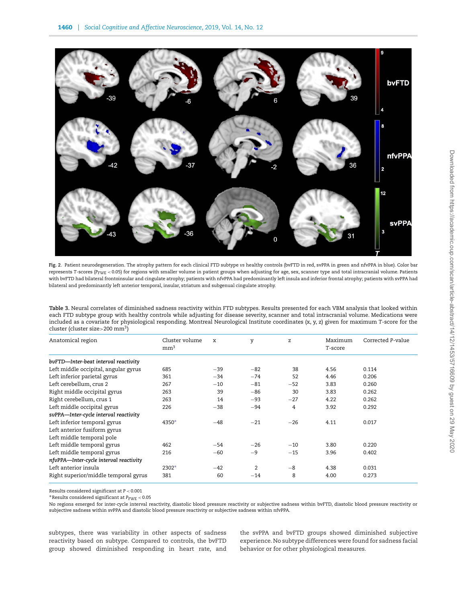

<span id="page-7-0"></span>**Fig. 2**. Patient neurodegeneration. The atrophy pattern for each clinical FTD subtype *vs* healthy controls (bvFTD in red, svPPA in green and nfvPPA in blue). Color bar represents T-scores ( $P_{\text{FWE}}$  < 0.05) for regions with smaller volume in patient groups when adjusting for age, sex, scanner type and total intracranial volume. Patients with bvFTD had bilateral frontoinsular and cingulate atrophy; patients with nfvPPA had predominantly left insula and inferior frontal atrophy; patients with svPPA had bilateral and predominantly left anterior temporal, insular, striatum and subgenual cingulate atrophy.

<span id="page-7-1"></span>**Table 3.** Neural correlates of diminished sadness reactivity within FTD subtypes. Results presented for each VBM analysis that looked within each FTD subtype group with healthy controls while adjusting for disease severity, scanner and total intracranial volume. Medications were included as a covariate for physiological responding. Montreal Neurological Institute coordinates (x, y, z) given for maximum *T*-score for the cluster (cluster size*>*200 mm3)

| Anatomical region                      | Cluster volume<br>mm <sup>3</sup> | X     | y              | z     | Maximum<br>T-score | Corrected P-value |
|----------------------------------------|-----------------------------------|-------|----------------|-------|--------------------|-------------------|
| bvFTD-Inter-beat interval reactivity   |                                   |       |                |       |                    |                   |
| Left middle occipital, angular gyrus   | 685                               | $-39$ | $-82$          | 38    | 4.56               | 0.114             |
| Left inferior parietal gyrus           | 361                               | $-34$ | $-74$          | 52    | 4.46               | 0.206             |
| Left cerebellum, crus 2                | 267                               | $-10$ | $-81$          | $-52$ | 3.83               | 0.260             |
| Right middle occipital gyrus           | 263                               | 39    | $-86$          | 30    | 3.83               | 0.262             |
| Right cerebellum, crus 1               | 263                               | 14    | $-93$          | $-27$ | 4.22               | 0.262             |
| Left middle occipital gyrus            | 226                               | $-38$ | $-94$          | 4     | 3.92               | 0.292             |
| svPPA-Inter-cycle interval reactivity  |                                   |       |                |       |                    |                   |
| Left inferior temporal gyrus           | 4350*                             | $-48$ | $-21$          | $-26$ | 4.11               | 0.017             |
| Left anterior fusiform gyrus           |                                   |       |                |       |                    |                   |
| Left middle temporal pole              |                                   |       |                |       |                    |                   |
| Left middle temporal gyrus             | 462                               | $-54$ | $-26$          | $-10$ | 3.80               | 0.220             |
| Left middle temporal gyrus             | 216                               | $-60$ | $-9$           | $-15$ | 3.96               | 0.402             |
| nfvPPA-Inter-cycle interval reactivity |                                   |       |                |       |                    |                   |
| Left anterior insula                   | 2302*                             | $-42$ | $\overline{2}$ | $-8$  | 4.38               | 0.031             |
| Right superior/middle temporal gyrus   | 381                               | 60    | $-14$          | 8     | 4.00               | 0.273             |

Results considered significant at *P <* 0.001

∗Results considered significant at *P*FWE *<* 0.05

No regions emerged for inter-cycle interval reactivity, diastolic blood pressure reactivity or subjective sadness within bvFTD, diastolic blood pressure reactivity or subjective sadness within svPPA and diastolic blood pressure reactivity or subjective sadness within nfvPPA.

subtypes, there was variability in other aspects of sadness reactivity based on subtype. Compared to controls, the bvFTD group showed diminished responding in heart rate, and the svPPA and bvFTD groups showed diminished subjective experience. No subtype differences were found for sadness facial behavior or for other physiological measures.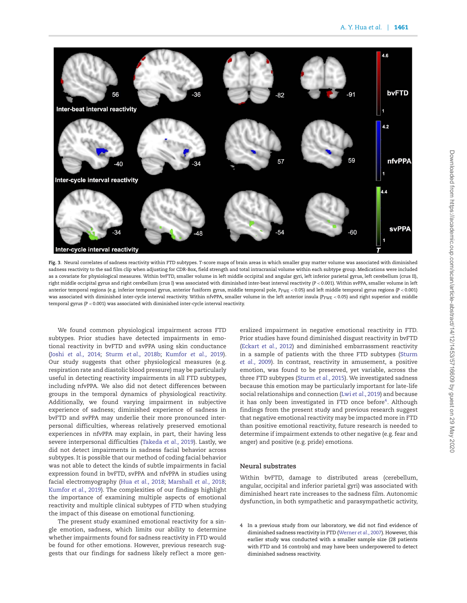

<span id="page-8-0"></span>**Fig. 3**. Neural correlates of sadness reactivity within FTD subtypes. *T*-score maps of brain areas in which smaller gray matter volume was associated with diminished sadness reactivity to the sad film clip when adjusting for CDR-Box, field strength and total intracranial volume within each subtype group. Medications were included as a covariate for physiological measures. Within bvFTD, smaller volume in left middle occipital and angular gyri, left inferior parietal gyrus, left cerebellum (crus II), right middle occipital gyrus and right cerebellum (crus I) was associated with diminished inter-beat interval reactivity (*P <* 0.001). Within svPPA, smaller volume in left anterior temporal regions (e.g. inferior temporal gyrus, anterior fusiform gyrus, middle temporal pole, *P*FWE *<* 0.05) and left middle temporal gyrus regions (*P <* 0.001) was associated with diminished inter-cycle interval reactivity. Within nfvPPA, smaller volume in the left anterior insula (*P<sub>FWE</sub>* < 0.05) and right superior and middle temporal gyrus (*P <* 0.001) was associated with diminished inter-cycle interval reactivity.

We found common physiological impairment across FTD subtypes. Prior studies have detected impairments in emotional reactivity in bvFTD and svPPA using skin conductance (Joshi *[et al.,](#page-10-4)* 2014; Sturm *et al.*[, 2018b;](#page-12-0) [Kumfor](#page-11-11) *et al.,* 2019). Our study suggests that other physiological measures (e.g. respiration rate and diastolic blood pressure) may be particularly useful in detecting reactivity impairments in all FTD subtypes, including nfvPPA. We also did not detect differences between groups in the temporal dynamics of physiological reactivity. Additionally, we found varying impairment in subjective experience of sadness; diminished experience of sadness in bvFTD and svPPA may underlie their more pronounced interpersonal difficulties, whereas relatively preserved emotional experiences in nfvPPA may explain, in part, their having less severe interpersonal difficulties [\(Takeda](#page-12-7) *et al.,* 2019). Lastly, we did not detect impairments in sadness facial behavior across subtypes. It is possible that our method of coding facial behavior was not able to detect the kinds of subtle impairments in facial expression found in bvFTD, svPPA and nfvPPA in studies using facial electromyography (Hua *[et al.,](#page-10-5)* 2018; [Marshall](#page-11-10) *et al.,* 2018; [Kumfor](#page-11-11) *et al.,* 2019). The complexities of our findings highlight the importance of examining multiple aspects of emotional reactivity and multiple clinical subtypes of FTD when studying the impact of this disease on emotional functioning.

The present study examined emotional reactivity for a single emotion, sadness, which limits our ability to determine whether impairments found for sadness reactivity in FTD would be found for other emotions. However, previous research suggests that our findings for sadness likely reflect a more generalized impairment in negative emotional reactivity in FTD. Prior studies have found diminished disgust reactivity in bvFTD [\(Eckart](#page-10-3) *et al.,* 2012) and diminished embarrassment reactivity [in a sample of patients with the three FTD subtypes \(Sturm](#page-11-1) *et al.,* 2009). In contrast, reactivity in amusement, a positive emotion, was found to be preserved, yet variable, across the three FTD subtypes [\(Sturm](#page-11-25) *et al.,* 2015). We investigated sadness because this emotion may be particularly important for late-life social relationships and connection (Lwi *et al.*[, 2019\)](#page-11-13) and because it has only been investigated in FTD once before<sup>4</sup>. Although findings from the present study and previous research suggest that negative emotional reactivity may be impacted more in FTD than positive emotional reactivity, future research is needed to determine if impairment extends to other negative (e.g. fear and anger) and positive (e.g. pride) emotions.

# **Neural substrates**

Within bvFTD, damage to distributed areas (cerebellum, angular, occipital and inferior parietal gyri) was associated with diminished heart rate increases to the sadness film. Autonomic dysfunction, in both sympathetic and parasympathetic activity,

<span id="page-8-1"></span>4 In a previous study from our laboratory, we did not find evidence of diminished sadness reactivity in FTD [\(Werner](#page-12-2) *et al.,* 2007). However, this earlier study was conducted with a smaller sample size (28 patients with FTD and 16 controls) and may have been underpowered to detect diminished sadness reactivity.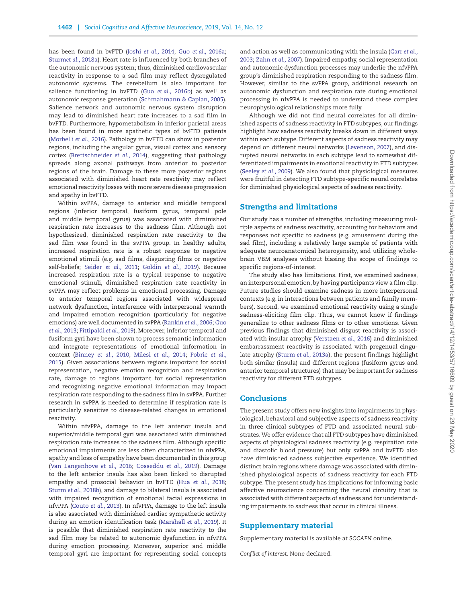has been found in bvFTD (Joshi *[et al.,](#page-10-4)* 2014; Guo *et al.*[, 2016a;](#page-10-27) Sturm*et al.*[, 2018a\)](#page-11-32). Heart rate is inf luenced by both branches of the autonomic nervous system; thus, diminished cardiovascular reactivity in response to a sad film may reflect dysregulated autonomic systems. The cerebellum is also important for salience functioning in bvFTD (Guo *et al.*[, 2016b\)](#page-10-28) as well as autonomic response generation [\(Schmahmann & Caplan, 2005\)](#page-11-33). Salience network and autonomic nervous system disruption may lead to diminished heart rate increases to a sad film in bvFTD. Furthermore, hypometabolism in inferior parietal areas has been found in more apathetic types of bvFTD patients [\(Morbelli](#page-11-34) *et al.,* 2016). Pathology in bvFTD can show in posterior regions, including the angular gyrus, visual cortex and sensory cortex [\(Brettschneider](#page-10-29) *et al.,* 2014), suggesting that pathology spreads along axonal pathways from anterior to posterior regions of the brain. Damage to these more posterior regions associated with diminished heart rate reactivity may reflect emotional reactivity losses with more severe disease progression and apathy in bvFTD.

Within svPPA, damage to anterior and middle temporal regions (inferior temporal, fusiform gyrus, temporal pole and middle temporal gyrus) was associated with diminished respiration rate increases to the sadness film. Although not hypothesized, diminished respiration rate reactivity to the sad film was found in the svPPA group. In healthy adults, increased respiration rate is a robust response to negative emotional stimuli (e.g. sad films, disgusting films or negative self-beliefs; [Seider](#page-11-22) *et al.,* 2011; [Goldin](#page-10-30) *et al.,* 2019). Because increased respiration rate is a typical response to negative emotional stimuli, diminished respiration rate reactivity in svPPA may reflect problems in emotional processing. Damage to anterior temporal regions associated with widespread network dysfunction, interference with interpersonal warmth and impaired emotion recognition (particularly for negative [emotions\) are well documented in svPPA \(](#page-10-31)[Rankin](#page-11-35) *et al.,* 2006; Guo *et al.,* 2013; [Fittipaldi](#page-10-32) *et al.,* 2019). Moreover, inferior temporal and fusiform gyri have been shown to process semantic information and integrate representations of emotional information in context [\(Binney](#page-10-33) *et al.,* 2010; [Milesi](#page-11-36) *et al.,* 2014; Pobric *et al.,* [2015\). Given associations between regions important for social](#page-11-37) representation, negative emotion recognition and respiration rate, damage to regions important for social representation and recognizing negative emotional information may impact respiration rate responding to the sadness film in svPPA. Further research in svPPA is needed to determine if respiration rate is particularly sensitive to disease-related changes in emotional reactivity.

Within nfvPPA, damage to the left anterior insula and superior/middle temporal gyri was associated with diminished respiration rate increases to the sadness film. Although specific emotional impairments are less often characterized in nfvPPA, apathy and loss of empathy have been documented in this group [\(Van Langenhove](#page-12-8) *et al.,* 2016; [Cosseddu](#page-10-34) *et al.,* 2019). Damage to the left anterior insula has also been linked to disrupted empathy and prosocial behavior in bvFTD (Hua *[et al.,](#page-10-5)* 2018; Sturm *et al.*[, 2018b\)](#page-12-0), and damage to bilateral insula is associated with impaired recognition of emotional facial expressions in nfvPPA [\(Couto](#page-10-35) *et al.,* 2013). In nfvPPA, damage to the left insula is also associated with diminished cardiac sympathetic activity during an emotion identification task [\(Marshall](#page-11-38) *et al.,* 2019). It is possible that diminished respiration rate reactivity to the sad film may be related to autonomic dysfunction in nfvPPA during emotion processing. Moreover, superior and middle temporal gyri are important for representing social concepts

[and action as well as communicating with the insula \(Carr](#page-10-36) *et al.,* 2003; [Zahn](#page-12-9) *et al.,* 2007). Impaired empathy, social representation and autonomic dysfunction processes may underlie the nfvPPA group's diminished respiration responding to the sadness film. However, similar to the svPPA group, additional research on autonomic dysfunction and respiration rate during emotional processing in nfvPPA is needed to understand these complex neurophysiological relationships more fully.

Although we did not find neural correlates for all diminished aspects of sadness reactivity in FTD subtypes, our findings highlight how sadness reactivity breaks down in different ways within each subtype. Different aspects of sadness reactivity may depend on different neural networks [\(Levenson, 2007\)](#page-11-39), and disrupted neural networks in each subtype lead to somewhat differentiated impairments in emotional reactivity in FTD subtypes [\(Seeley](#page-11-4) *et al.,* 2009). We also found that physiological measures were fruitful in detecting FTD subtype-specific neural correlates for diminished physiological aspects of sadness reactivity.

## **Strengths and limitations**

Our study has a number of strengths, including measuring multiple aspects of sadness reactivity, accounting for behaviors and responses not specific to sadness (e.g. amusement during the sad film), including a relatively large sample of patients with adequate neuroanatomical heterogeneity, and utilizing wholebrain VBM analyses without biasing the scope of findings to specific regions-of-interest.

The study also has limitations. First, we examined sadness, an interpersonal emotion, by having participants view a film clip. Future studies should examine sadness in more interpersonal contexts (e.g. in interactions between patients and family members). Second, we examined emotional reactivity using a single sadness-eliciting film clip. Thus, we cannot know if findings generalize to other sadness films or to other emotions. Given previous findings that diminished disgust reactivity is associated with insular atrophy [\(Verstaen](#page-12-6) *et al.,* 2016) and diminished embarrassment reactivity is associated with pregenual cingulate atrophy (Sturm *et al.*[, 2013a\)](#page-11-27), the present findings highlight both similar (insula) and different regions (fusiform gyrus and anterior temporal structures) that may be important for sadness reactivity for different FTD subtypes.

## **Conclusions**

The present study offers new insights into impairments in physiological, behavioral and subjective aspects of sadness reactivity in three clinical subtypes of FTD and associated neural substrates.We offer evidence that all FTD subtypes have diminished aspects of physiological sadness reactivity (e.g. respiration rate and diastolic blood pressure) but only svPPA and bvFTD also have diminished sadness subjective experience. We identified distinct brain regions where damage was associated with diminished physiological aspects of sadness reactivity for each FTD subtype. The present study has implications for informing basic affective neuroscience concerning the neural circuitry that is associated with different aspects of sadness and for understanding impairments to sadness that occur in clinical illness.

## **Supplementary material**

Supplementary material is available at *SOCAFN* online.

*Conflict of interest.* None declared.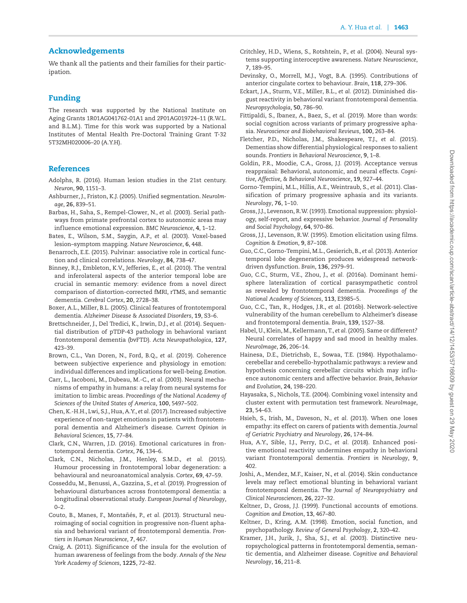# **Acknowledgements**

We thank all the patients and their families for their participation.

# **Funding**

The research was supported by the National Institute on Aging Grants 1R01AG041762-01A1 and 2P01AG019724–11 (R.W.L. and B.L.M.). Time for this work was supported by a National Institutes of Mental Health Pre-Doctoral Training Grant T-32 5T32MH020006–20 (A.Y.H).

# **References**

- <span id="page-10-18"></span>Adolphs, R. (2016). Human lesion studies in the 21st century. *Neuron*, **90**, 1151–3.
- <span id="page-10-23"></span>Ashburner, J., Friston, K.J. (2005). Unified segmentation. *NeuroImage*, **26**, 839–51.
- <span id="page-10-13"></span>Barbas, H., Saha, S., Rempel-Clower, N., *et al.* (2003). Serial pathways from primate prefrontal cortex to autonomic areas may inf luence emotional expression. *BMC Neuroscience*, **4**, 1–12.
- <span id="page-10-24"></span>Bates, E., Wilson, S.M., Saygin, A.P., *et al.* (2003). Voxel-based lesion–symptom mapping. *Nature Neuroscience*, **6**, 448.
- <span id="page-10-16"></span>Benarroch, E.E. (2015). Pulvinar: associative role in cortical function and clinical correlations. *Neurology*, **84**, 738–47.
- <span id="page-10-33"></span>Binney, R.J., Embleton, K.V., Jefferies, E., *et al.* (2010). The ventral and inferolateral aspects of the anterior temporal lobe are crucial in semantic memory: evidence from a novel direct comparison of distortion-corrected fMRI, rTMS, and semantic dementia. *Cerebral Cortex*, **20**, 2728–38.
- <span id="page-10-0"></span>Boxer, A.L., Miller, B.L. (2005). Clinical features of frontotemporal dementia. *Alzheimer Disease & Associated Disorders*, **19**, S3–6.
- <span id="page-10-29"></span>Brettschneider, J., Del Tredici, K., Irwin, D.J., *et al.* (2014). Sequential distribution of pTDP-43 pathology in behavioral variant frontotemporal dementia (bvFTD). *Acta Neuropathologica*, **127**, 423–39.
- <span id="page-10-17"></span>Brown, C.L., Van Doren, N., Ford, B.Q., *et al.* (2019). Coherence between subjective experience and physiology in emotion: individual differences and implications for well-being. *Emotion*.
- <span id="page-10-36"></span>Carr, L., Iacoboni, M., Dubeau, M.-C., *et al.* (2003). Neural mechanisms of empathy in humans: a relay from neural systems for imitation to limbic areas. *Proceedings of the National Academy of Sciences of the United States of America*, **100**, 5497–502.
- <span id="page-10-22"></span>Chen, K.-H.H., Lwi, S.J., Hua, A.Y., *et al.* (2017). Increased subjective experience of non-target emotions in patients with frontotemporal dementia and Alzheimer's disease. *Current Opinion in Behavioral Sciences*, **15**, 77–84.
- <span id="page-10-1"></span>Clark, C.N., Warren, J.D. (2016). Emotional caricatures in frontotemporal dementia. *Cortex*, **76**, 134–6.
- <span id="page-10-9"></span>Clark, C.N., Nicholas, J.M., Henley, S.M.D., *et al.* (2015). Humour processing in frontotemporal lobar degeneration: a behavioural and neuroanatomical analysis. *Cortex*, **69**, 47–59.
- <span id="page-10-34"></span>Cosseddu, M., Benussi, A., Gazzina, S., *et al.* (2019). Progression of behavioural disturbances across frontotemporal dementia: a longitudinal observational study. *European Journal of Neurology*,  $0 - 2$ .
- <span id="page-10-35"></span>Couto, B., Manes, F., Montañés, P., *et al.* (2013). Structural neuroimaging of social cognition in progressive non-fluent aphasia and behavioral variant of frontotemporal dementia. *Frontiers in Human Neuroscience*, **7**, 467.
- <span id="page-10-15"></span>Craig, A. (2011). Significance of the insula for the evolution of human awareness of feelings from the body. *Annals of the New York Academy of Sciences*, **1225**, 72–82.
- <span id="page-10-14"></span>Critchley, H.D., Wiens, S., Rotshtein, P., *et al.* (2004). Neural systems supporting interoceptive awareness. *Nature Neuroscience*, **7**, 189–95.
- <span id="page-10-12"></span>Devinsky, O., Morrell, M.J., Vogt, B.A. (1995). Contributions of anterior cingulate cortex to behaviour. *Brain*, **118**, 279–306.
- <span id="page-10-3"></span>Eckart, J.A., Sturm, V.E., Miller, B.L., *et al.* (2012). Diminished disgust reactivity in behavioral variant frontotemporal dementia. *Neuropsychologia*, **50**, 786–90.
- <span id="page-10-32"></span>Fittipaldi, S., Ibanez, A., Baez, S., *et al.* (2019). More than words: social cognition across variants of primary progressive aphasia. *Neuroscience and Biobehavioral Reviews*, **100**, 263–84.
- <span id="page-10-6"></span>Fletcher, P.D., Nicholas, J.M., Shakespeare, T.J., *et al.* (2015). Dementias show differential physiological responses to salient sounds. *Frontiers in Behavioral Neuroscience*, **9**, 1–8.
- <span id="page-10-30"></span>Goldin, P.R., Moodie, C.A., Gross, J.J. (2019). Acceptance versus reappraisal: Behavioral, autonomic, and neural effects. *Cognitive, Affective, & Behavioral Neuroscience*, **19**, 927–44.
- <span id="page-10-19"></span>Gorno-Tempini, M.L., Hillis, A.E., Weintraub, S., *et al.* (2011). Classification of primary progressive aphasia and its variants. *Neurology*, **76**, 1–10.
- <span id="page-10-21"></span>Gross, J.J., Levenson, R.W. (1993). Emotional suppression: physiology, self-report, and expressive behavior. *Journal of Personality and Social Psychology*, **64**, 970–86.
- <span id="page-10-20"></span>Gross, J.J., Levenson, R.W. (1995). Emotion elicitation using films. *Cognition & Emotion*, **9**, 87–108.
- <span id="page-10-31"></span>Guo, C.C., Gorno-Tempini, M.L., Gesierich, B., *et al.* (2013). Anterior temporal lobe degeneration produces widespread networkdriven dysfunction. *Brain*, **136**, 2979–91.
- <span id="page-10-27"></span>Guo, C.C., Sturm, V.E., Zhou, J., *et al.* (2016a). Dominant hemisphere lateralization of cortical parasympathetic control as revealed by frontotemporal dementia. *Proceedings of the National Academy of Sciences*, **113**, E3985–5.
- <span id="page-10-28"></span>Guo, C.C., Tan, R., Hodges, J.R., *et al.* (2016b). Network-selective vulnerability of the human cerebellum to Alzheimer's disease and frontotemporal dementia. *Brain*, **139**, 1527–38.
- <span id="page-10-10"></span>Habel, U., Klein, M., Kellermann, T., *et al.* (2005). Same or different? Neural correlates of happy and sad mood in healthy males. *NeuroImage*, **26**, 206–14.
- <span id="page-10-11"></span>Hainesa, D.E., Dietrichsb, E., Sowaa, T.E. (1984). Hypothalamocerebellar and cerebello-hypothalamic pathways: a review and hypothesis concerning cerebellar circuits which may influence autonomic centers and affective behavior. *Brain, Behavior and Evolution*, **24**, 198–220.
- <span id="page-10-25"></span>Hayasaka, S., Nichols, T.E. (2004). Combining voxel intensity and cluster extent with permutation test framework. *NeuroImage*, **23**, 54–63.
- <span id="page-10-8"></span>Hsieh, S., Irish, M., Daveson, N., *et al.* (2013). When one loses empathy: its effect on carers of patients with dementia. *Journal of Geriatric Psychiatry and Neurology*, **26**, 174–84.
- <span id="page-10-5"></span>Hua, A.Y., Sible, I.J., Perry, D.C., *et al.* (2018). Enhanced positive emotional reactivity undermines empathy in behavioral variant Frontotemporal dementia. *Frontiers in Neurology*, **9**, 402.
- <span id="page-10-4"></span>Joshi, A., Mendez, M.F., Kaiser, N., *et al.* (2014). Skin conductance levels may reflect emotional blunting in behavioral variant frontotemporal dementia. *The Journal of Neuropsychiatry and Clinical Neurosciences*, **26**, 227–32.
- <span id="page-10-2"></span>Keltner, D., Gross, J.J. (1999). Functional accounts of emotions. *Cognition and Emotion*, **13**, 467–80.
- <span id="page-10-7"></span>Keltner, D., Kring, A.M. (1998). Emotion, social function, and psychopathology. *Review of General Psychology*, **2**, 320–42.
- <span id="page-10-26"></span>Kramer, J.H., Jurik, J., Sha, S.J., *et al.* (2003). Distinctive neuropsychological patterns in frontotemporal dementia, semantic dementia, and Alzheimer disease. *Cognitive and Behavioral Neurology*, **16**, 211–8.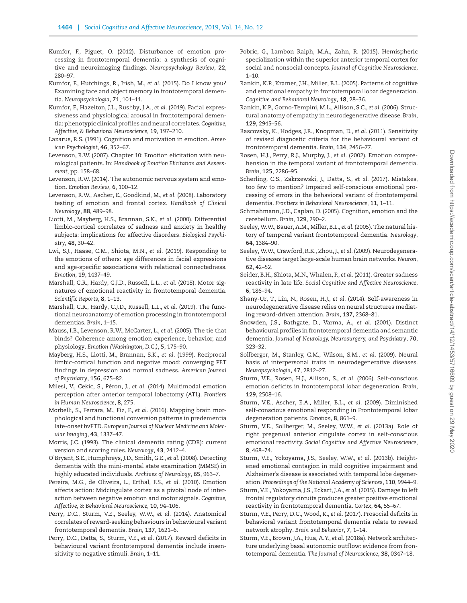- <span id="page-11-15"></span>Kumfor, F., Piguet, O. (2012). Disturbance of emotion processing in frontotemporal dementia: a synthesis of cognitive and neuroimaging findings. *Neuropsychology Review*, **22**, 280–97.
- <span id="page-11-31"></span>Kumfor, F., Hutchings, R., Irish, M., *et al.* (2015). Do I know you? Examining face and object memory in frontotemporal dementia. *Neuropsychologia*, **71**, 101–11.
- <span id="page-11-11"></span>Kumfor, F., Hazelton, J.L., Rushby, J.A., *et al.* (2019). Facial expressiveness and physiological arousal in frontotemporal dementia: phenotypic clinical profiles and neural correlates.*Cognitive, Affective, & Behavioral Neuroscience*, **19**, 197–210.
- <span id="page-11-12"></span>Lazarus, R.S. (1991). Cognition and motivation in emotion. *American Psychologist*, **46**, 352–67.
- <span id="page-11-39"></span>Levenson, R.W. (2007). Chapter 10: Emotion elicitation with neurological patients. In: *Handbook of Emotion Elicitation and Assessment*, pp. 158–68.
- <span id="page-11-6"></span>Levenson, R.W. (2014). The autonomic nervous system and emotion. *Emotion Review*, **6**, 100–12.
- <span id="page-11-21"></span>Levenson, R.W., Ascher, E., Goodkind, M., *et al.* (2008). Laboratory testing of emotion and frontal cortex. *Handbook of Clinical Neurology*, **88**, 489–98.
- <span id="page-11-18"></span>Liotti, M., Mayberg, H.S., Brannan, S.K., *et al.* (2000). Differential limbic-cortical correlates of sadness and anxiety in healthy subjects: implications for affective disorders. *Biological Psychiatry*, **48**, 30–42.
- <span id="page-11-13"></span>Lwi, S.J., Haase, C.M., Shiota, M.N., *et al.* (2019). Responding to the emotions of others: age differences in facial expressions and age-specific associations with relational connectedness. *Emotion*, **19**, 1437–49.
- <span id="page-11-10"></span>Marshall, C.R., Hardy, C.J.D., Russell, L.L., *et al.* (2018). Motor signatures of emotional reactivity in frontotemporal dementia. *Scientific Reports*, **8**, 1–13.
- <span id="page-11-38"></span>Marshall, C.R., Hardy, C.J.D., Russell, L.L., *et al.* (2019). The functional neuroanatomy of emotion processing in frontotemporal dementias. *Brain*, 1–15.
- <span id="page-11-5"></span>Mauss, I.B., Levenson, R.W., McCarter, L., *et al.* (2005). The tie that binds? Coherence among emotion experience, behavior, and physiology. *Emotion (Washington, D.C.)*, **5**, 175–90.
- <span id="page-11-17"></span>Mayberg, H.S., Liotti, M., Brannan, S.K., *et al.* (1999). Reciprocal limbic-cortical function and negative mood: converging PET findings in depression and normal sadness. *American Journal of Psychiatry*, **156**, 675–82.
- <span id="page-11-36"></span>Milesi, V., Cekic, S., Péron, J., *et al.* (2014). Multimodal emotion perception after anterior temporal lobectomy (ATL). *Frontiers in Human Neuroscience*, **8**, 275.
- <span id="page-11-34"></span>Morbelli, S., Ferrara, M., Fiz, F., *et al.* (2016). Mapping brain morphological and functional conversion patterns in predementia late-onset bvFTD. *European Journal of Nuclear Medicine and Molecular Imaging*, **43**, 1337–47.
- <span id="page-11-24"></span>Morris, J.C. (1993). The clinical dementia rating (CDR): current version and scoring rules. *Neurology*, **43**, 2412–4.
- <span id="page-11-23"></span>O'Bryant, S.E., Humphreys, J.D., Smith, G.E., *et al.* (2008). Detecting dementia with the mini-mental state examination (MMSE) in highly educated individuals. *Archives of Neurology*, **65**, 963–7.
- <span id="page-11-19"></span>Pereira, M.G., de Oliveira, L., Erthal, F.S., *et al.* (2010). Emotion affects action: Midcingulate cortex as a pivotal node of interaction between negative emotion and motor signals. *Cognitive, Affective, & Behavioral Neuroscience*, **10**, 94–106.
- <span id="page-11-29"></span>Perry, D.C., Sturm, V.E., Seeley, W.W., *et al.* (2014). Anatomical correlates of reward-seeking behaviours in behavioural variant frontotemporal dementia. *Brain*, **137**, 1621–6.
- <span id="page-11-8"></span>Perry, D.C., Datta, S., Sturm, V.E., *et al.* (2017). Reward deficits in behavioural variant frontotemporal dementia include insensitivity to negative stimuli. *Brain*, 1–11.
- <span id="page-11-37"></span>Pobric, G., Lambon Ralph, M.A., Zahn, R. (2015). Hemispheric specialization within the superior anterior temporal cortex for social and nonsocial concepts. *Journal of Cognitive Neuroscience*, 1–10.
- <span id="page-11-14"></span>Rankin, K.P., Kramer, J.H., Miller, B.L. (2005). Patterns of cognitive and emotional empathy in frontotemporal lobar degeneration. *Cognitive and Behavioral Neurology*, **18**, 28–36.
- <span id="page-11-35"></span>Rankin, K.P., Gorno-Tempini, M.L., Allison, S.C., *et al.* (2006). Structural anatomy of empathy in neurodegenerative disease. *Brain*, **129**, 2945–56.
- <span id="page-11-20"></span>Rascovsky, K., Hodges, J.R., Knopman, D., *et al.* (2011). Sensitivity of revised diagnostic criteria for the behavioural variant of frontotemporal dementia. *Brain*, **134**, 2456–77.
- <span id="page-11-2"></span>Rosen, H.J., Perry, R.J., Murphy, J., *et al.* (2002). Emotion comprehension in the temporal variant of frontotemporal dementia. *Brain*, **125**, 2286–95.
- <span id="page-11-9"></span>Scherling, C.S., Zakrzewski, J., Datta, S., *et al.* (2017). Mistakes, too few to mention? Impaired self-conscious emotional processing of errors in the behavioral variant of frontotemporal dementia. *Frontiers in Behavioral Neuroscience*, **11**, 1–11.
- <span id="page-11-33"></span>Schmahmann, J.D., Caplan, D. (2005). Cognition, emotion and the cerebellum. *Brain*, **129**, 290–2.
- <span id="page-11-3"></span>Seeley, W.W., Bauer, A.M., Miller, B.L., *et al.* (2005). The natural history of temporal variant frontotemporal dementia. *Neurology*, **64**, 1384–90.
- <span id="page-11-4"></span>Seeley,W.W., Crawford, R.K., Zhou, J., *et al.* (2009). Neurodegenerative diseases target large-scale human brain networks. *Neuron*, **62**, 42–52.
- <span id="page-11-22"></span>Seider, B.H., Shiota, M.N., Whalen, P., *et al.* (2011). Greater sadness reactivity in late life. *Social Cognitive and Affective Neuroscience*, **6**, 186–94.
- <span id="page-11-30"></span>Shany-Ur, T., Lin, N., Rosen, H.J., *et al.* (2014). Self-awareness in neurodegenerative disease relies on neural structures mediating reward-driven attention. *Brain*, **137**, 2368–81.
- <span id="page-11-16"></span>Snowden, J.S., Bathgate, D., Varma, A., *et al.* (2001). Distinct behavioural profiles in frontotemporal dementia and semantic dementia. *Journal of Neurology, Neurosurgery, and Psychiatry*, **70**, 323–32.
- <span id="page-11-26"></span>Sollberger, M., Stanley, C.M., Wilson, S.M., *et al.* (2009). Neural basis of interpersonal traits in neurodegenerative diseases. *Neuropsychologia*, **47**, 2812–27.
- <span id="page-11-0"></span>Sturm, V.E., Rosen, H.J., Allison, S., *et al.* (2006). Self-conscious emotion deficits in frontotemporal lobar degeneration. *Brain*, **129**, 2508–16.
- <span id="page-11-1"></span>Sturm, V.E., Ascher, E.A., Miller, B.L., *et al.* (2009). Diminished self-conscious emotional responding in Frontotemporal lobar degeneration patients. *Emotion*, **8**, 861–9.
- <span id="page-11-27"></span>Sturm, V.E., Sollberger, M., Seeley, W.W., *et al.* (2013a). Role of right pregenual anterior cingulate cortex in self-conscious emotional reactivity. *Social Cognitive and Affective Neuroscience*, **8**, 468–74.
- <span id="page-11-28"></span>Sturm, V.E., Yokoyama, J.S., Seeley, W.W., *et al.* (2013b). Heightened emotional contagion in mild cognitive impairment and Alzheimer's disease is associated with temporal lobe degeneration. *Proceedings of the National Academy of Sciences*, **110**, 9944–9.
- <span id="page-11-25"></span>Sturm, V.E., Yokoyama, J.S., Eckart, J.A., *et al.* (2015). Damage to left frontal regulatory circuits produces greater positive emotional reactivity in frontotemporal dementia. *Cortex*, **64**, 55–67.
- <span id="page-11-7"></span>Sturm, V.E., Perry, D.C., Wood, K., *et al.* (2017). Prosocial deficits in behavioral variant frontotemporal dementia relate to reward network atrophy. *Brain and Behavior*, **7**, 1–14.
- <span id="page-11-32"></span>Sturm, V.E., Brown, J.A., Hua, A.Y., *et al.* (2018a). Network architecture underlying basal autonomic outflow: evidence from frontotemporal dementia. *The Journal of Neuroscience*, **38**, 0347–18.